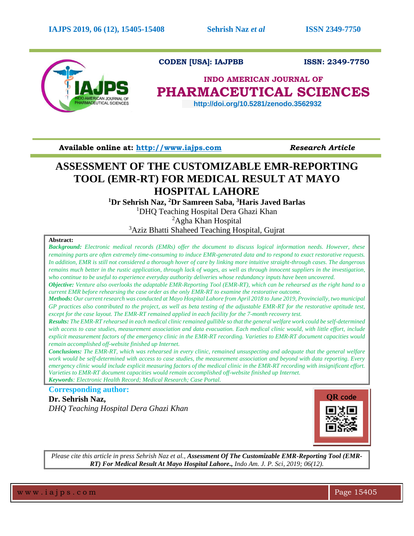

# **CODEN [USA]: IAJPBB ISSN: 2349-7750**

# **INDO AMERICAN JOURNAL OF PHARMACEUTICAL SCIENCES**

 **http://doi.org/10.5281/zenodo.3562932**

**Available online at: [http://www.iajps.com](http://www.iajps.com/)** *Research Article*

# **ASSESSMENT OF THE CUSTOMIZABLE EMR-REPORTING TOOL (EMR-RT) FOR MEDICAL RESULT AT MAYO HOSPITAL LAHORE**

**<sup>1</sup>Dr Sehrish Naz, <sup>2</sup>Dr Samreen Saba, <sup>3</sup>Haris Javed Barlas**

<sup>1</sup>DHQ Teaching Hospital Dera Ghazi Khan

<sup>2</sup>Agha Khan Hospital

<sup>3</sup>Aziz Bhatti Shaheed Teaching Hospital, Gujrat

### **Abstract:**

*Background: Electronic medical records (EMRs) offer the document to discuss logical information needs. However, these remaining parts are often extremely time-consuming to induce EMR-generated data and to respond to exact restorative requests. In addition, EMR is still not considered a thorough hover of care by linking more intuitive straight-through cases. The dangerous remains much better in the rustic application, through lack of wages, as well as through innocent suppliers in the investigation, who continue to be useful to experience everyday authority deliveries whose redundancy inputs have been uncovered.* 

*Objective: Venture also overlooks the adaptable EMR-Reporting Tool (EMR-RT), which can be rehearsed as the right hand to a current EMR before rehearsing the case order as the only EMR-RT to examine the restorative outcome.*

*Methods: Our current research was conducted at Mayo Hospital Lahore from April 2018 to June 2019, Provincially, two municipal GP practices also contributed to the project, as well as beta testing of the adjustable EMR-RT for the restorative aptitude test, except for the case layout. The EMR-RT remained applied in each facility for the 7-month recovery test.* 

*Results: The EMR-RT rehearsed in each medical clinic remained gullible so that the general welfare work could be self-determined with access to case studies, measurement association and data evacuation. Each medical clinic would, with little effort, include explicit measurement factors of the emergency clinic in the EMR-RT recording. Varieties to EMR-RT document capacities would remain accomplished off-website finished up Internet.* 

*Conclusions: The EMR-RT, which was rehearsed in every clinic, remained unsuspecting and adequate that the general welfare work would be self-determined with access to case studies, the measurement association and beyond with data reporting. Every emergency clinic would include explicit measuring factors of the medical clinic in the EMR-RT recording with insignificant effort. Varieties to EMR-RT document capacities would remain accomplished off-website finished up Internet. Keywords: Electronic Health Record; Medical Research; Case Portal.*

**Corresponding author: Dr. Sehrish Naz,**

*DHQ Teaching Hospital Dera Ghazi Khan*



*Please cite this article in press Sehrish Naz et al., Assessment Of The Customizable EMR-Reporting Tool (EMR-RT) For Medical Result At Mayo Hospital Lahore., Indo Am. J. P. Sci, 2019; 06(12).*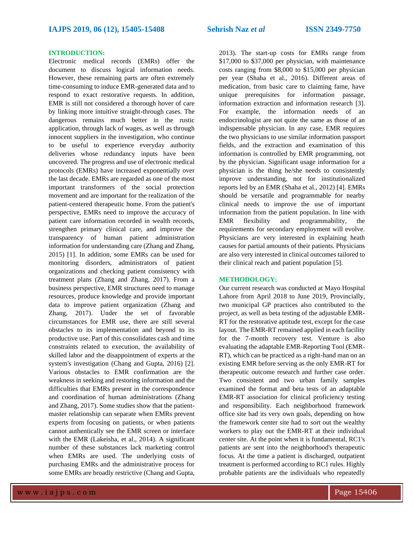## **INTRODUCTION:**

Electronic medical records (EMRs) offer the document to discuss logical information needs. However, these remaining parts are often extremely time-consuming to induce EMR-generated data and to respond to exact restorative requests. In addition, EMR is still not considered a thorough hover of care by linking more intuitive straight-through cases. The dangerous remains much better in the rustic application, through lack of wages, as well as through innocent suppliers in the investigation, who continue to be useful to experience everyday authority deliveries whose redundancy inputs have been uncovered. The progress and use of electronic medical protocols (EMRs) have increased exponentially over the last decade. EMRs are regarded as one of the most important transformers of the social protection movement and are important for the realization of the patient-centered therapeutic home. From the patient's perspective, EMRs need to improve the accuracy of patient care information recorded in wealth records, strengthen primary clinical care, and improve the transparency of human patient administration information for understanding care (Zhang and Zhang, 2015) [1]. In addition, some EMRs can be used for monitoring disorders, administrators of patient organizations and checking patient consistency with treatment plans (Zhang and Zhang, 2017). From a business perspective, EMR structures need to manage resources, produce knowledge and provide important data to improve patient organization (Zhang and Zhang, 2017). Under the set of favorable circumstances for EMR use, there are still several obstacles to its implementation and beyond to its productive use. Part of this consolidates cash and time constraints related to execution, the availability of skilled labor and the disappointment of experts at the system's investigation (Chang and Gupta, 2016) [2]. Various obstacles to EMR confirmation are the weakness in seeking and restoring information and the difficulties that EMRs present in the correspondence and coordination of human administrations (Zhang and Zhang, 2017). Some studies show that the patientmaster relationship can separate when EMRs prevent experts from focusing on patients, or when patients cannot authentically see the EMR screen or interface with the EMR (Lakeisha, et al., 2014). A significant number of these substances lack marketing control when EMRs are used. The underlying costs of purchasing EMRs and the administrative process for some EMRs are broadly restrictive (Chang and Gupta,

2013). The start-up costs for EMRs range from \$17,000 to \$37,000 per physician, with maintenance costs ranging from \$8,000 to \$15,000 per physician per year (Shaha et al., 2016). Different areas of medication, from basic care to claiming fame, have unique prerequisites for information passage, information extraction and information research [3]. For example, the information needs of an endocrinologist are not quite the same as those of an indispensable physician. In any case, EMR requires the two physicians to use similar information passport fields, and the extraction and examination of this information is controlled by EMR programming, not by the physician. Significant usage information for a physician is the thing he/she needs to consistently improve understanding, not for institutionalized reports led by an EMR (Shaha et al., 2012) [4]. EMRs should be versatile and programmable for nearby clinical needs to improve the use of important information from the patient population. In line with EMR flexibility and programmability, the requirements for secondary employment will evolve. Physicians are very interested in explaining heath causes for partial amounts of their patients. Physicians are also very interested in clinical outcomes tailored to their clinical reach and patient population [5].

#### **METHODOLOGY:**

Our current research was conducted at Mayo Hospital Lahore from April 2018 to June 2019, Provincially, two municipal GP practices also contributed to the project, as well as beta testing of the adjustable EMR-RT for the restorative aptitude test, except for the case layout. The EMR-RT remained applied in each facility for the 7-month recovery test. Venture is also evaluating the adaptable EMR-Reporting Tool (EMR-RT), which can be practiced as a right-hand man on an existing EMR before serving as the only EMR-RT for therapeutic outcome research and further case order. Two consistent and two urban family samples examined the format and beta tests of an adaptable EMR-RT association for clinical proficiency testing and responsibility. Each neighborhood framework office site had its very own goals, depending on how the framework center site had to sort out the wealthy workers to play out the EMR-RT at their individual center site. At the point when it is fundamental, RC1's patients are sent into the neighborhood's therapeutic focus. At the time a patient is discharged, outpatient treatment is performed according to RC1 rules. Highly probable patients are the individuals who repeatedly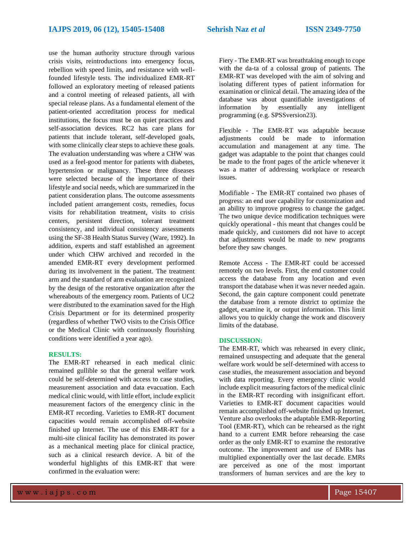use the human authority structure through various crisis visits, reintroductions into emergency focus, rebellion with speed limits, and resistance with wellfounded lifestyle tests. The individualized EMR-RT followed an exploratory meeting of released patients and a control meeting of released patients, all with special release plans. As a fundamental element of the patient-oriented accreditation process for medical institutions, the focus must be on quiet practices and self-association devices. RC2 has care plans for patients that include tolerant, self-developed goals, with some clinically clear steps to achieve these goals. The evaluation understanding was where a CHW was used as a feel-good mentor for patients with diabetes, hypertension or malignancy. These three diseases were selected because of the importance of their lifestyle and social needs, which are summarized in the patient consideration plans. The outcome assessments included patient arrangement costs, remedies, focus visits for rehabilitation treatment, visits to crisis centers, persistent direction, tolerant treatment consistency, and individual consistency assessments using the SF-38 Health Status Survey (Ware, 1992). In addition, experts and staff established an agreement under which CHW archived and recorded in the amended EMR-RT every development performed during its involvement in the patient. The treatment arm and the standard of arm evaluation are recognized by the design of the restorative organization after the whereabouts of the emergency room. Patients of UC2 were distributed to the examination saved for the High Crisis Department or for its determined prosperity (regardless of whether TWO visits to the Crisis Office or the Medical Clinic with continuously flourishing conditions were identified a year ago).

# **RESULTS:**

The EMR-RT rehearsed in each medical clinic remained gullible so that the general welfare work could be self-determined with access to case studies, measurement association and data evacuation. Each medical clinic would, with little effort, include explicit measurement factors of the emergency clinic in the EMR-RT recording. Varieties to EMR-RT document capacities would remain accomplished off-website finished up Internet. The use of this EMR-RT for a multi-site clinical facility has demonstrated its power as a mechanical meeting place for clinical practice, such as a clinical research device. A bit of the wonderful highlights of this EMR-RT that were confirmed in the evaluation were:

Fiery - The EMR-RT was breathtaking enough to cope with the da-ta of a colossal group of patients. The EMR-RT was developed with the aim of solving and isolating different types of patient information for examination or clinical detail. The amazing idea of the database was about quantifiable investigations of information by essentially any intelligent programming (e.g. SPSSversion23).

Flexible - The EMR-RT was adaptable because adjustments could be made to information accumulation and management at any time. The gadget was adaptable to the point that changes could be made to the front pages of the article whenever it was a matter of addressing workplace or research issues.

Modifiable - The EMR-RT contained two phases of progress: an end user capability for customization and an ability to improve progress to change the gadget. The two unique device modification techniques were quickly operational - this meant that changes could be made quickly, and customers did not have to accept that adjustments would be made to new programs before they saw changes.

Remote Access - The EMR-RT could be accessed remotely on two levels. First, the end customer could access the database from any location and even transport the database when it was never needed again. Second, the gain capture component could penetrate the database from a remote district to optimize the gadget, examine it, or output information. This limit allows you to quickly change the work and discovery limits of the database.

#### **DISCUSSION:**

The EMR-RT, which was rehearsed in every clinic, remained unsuspecting and adequate that the general welfare work would be self-determined with access to case studies, the measurement association and beyond with data reporting. Every emergency clinic would include explicit measuring factors of the medical clinic in the EMR-RT recording with insignificant effort. Varieties to EMR-RT document capacities would remain accomplished off-website finished up Internet. Venture also overlooks the adaptable EMR-Reporting Tool (EMR-RT), which can be rehearsed as the right hand to a current EMR before rehearsing the case order as the only EMR-RT to examine the restorative outcome. The improvement and use of EMRs has multiplied exponentially over the last decade. EMRs are perceived as one of the most important transformers of human services and are the key to